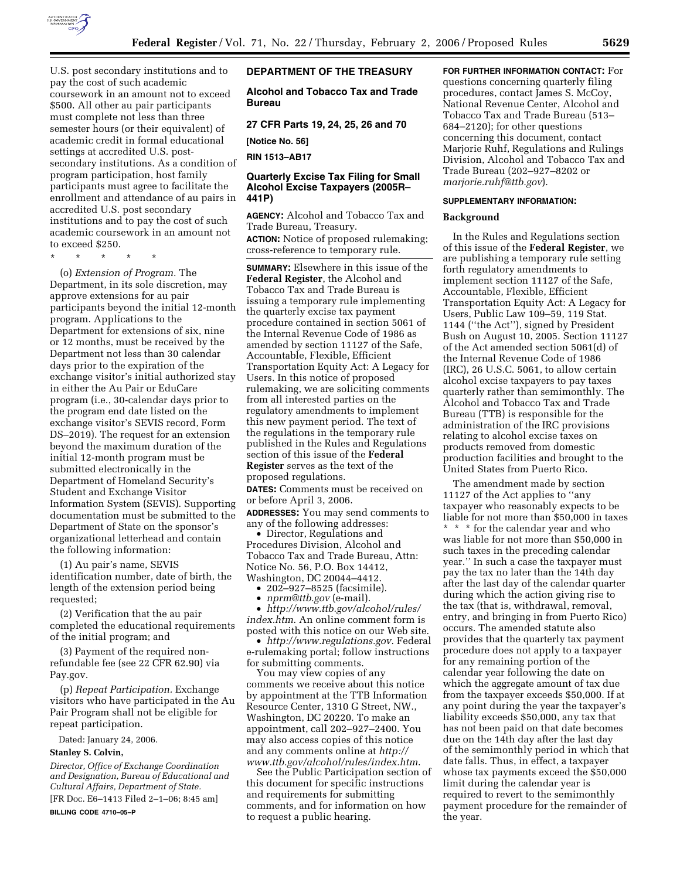

U.S. post secondary institutions and to pay the cost of such academic coursework in an amount not to exceed \$500. All other au pair participants must complete not less than three semester hours (or their equivalent) of academic credit in formal educational settings at accredited U.S. postsecondary institutions. As a condition of program participation, host family participants must agree to facilitate the enrollment and attendance of au pairs in accredited U.S. post secondary institutions and to pay the cost of such academic coursework in an amount not

to exceed \$250.

\* \* \* \* \*

(o) *Extension of Program.* The Department, in its sole discretion, may approve extensions for au pair participants beyond the initial 12-month program. Applications to the Department for extensions of six, nine or 12 months, must be received by the Department not less than 30 calendar days prior to the expiration of the exchange visitor's initial authorized stay in either the Au Pair or EduCare program (i.e., 30-calendar days prior to the program end date listed on the exchange visitor's SEVIS record, Form DS–2019). The request for an extension beyond the maximum duration of the initial 12-month program must be submitted electronically in the Department of Homeland Security's Student and Exchange Visitor Information System (SEVIS). Supporting documentation must be submitted to the Department of State on the sponsor's organizational letterhead and contain the following information:

(1) Au pair's name, SEVIS identification number, date of birth, the length of the extension period being requested;

(2) Verification that the au pair completed the educational requirements of the initial program; and

(3) Payment of the required nonrefundable fee (see 22 CFR 62.90) via Pay.gov.

(p) *Repeat Participation.* Exchange visitors who have participated in the Au Pair Program shall not be eligible for repeat participation.

Dated: January 24, 2006.

#### **Stanley S. Colvin,**

*Director, Office of Exchange Coordination and Designation, Bureau of Educational and Cultural Affairs, Department of State.*  [FR Doc. E6–1413 Filed 2–1–06; 8:45 am]

### **BILLING CODE 4710–05–P**

# **DEPARTMENT OF THE TREASURY**

**Alcohol and Tobacco Tax and Trade Bureau** 

**27 CFR Parts 19, 24, 25, 26 and 70** 

**[Notice No. 56]** 

**RIN 1513–AB17** 

# **Quarterly Excise Tax Filing for Small Alcohol Excise Taxpayers (2005R– 441P)**

**AGENCY:** Alcohol and Tobacco Tax and Trade Bureau, Treasury.

**ACTION:** Notice of proposed rulemaking; cross-reference to temporary rule.

**SUMMARY:** Elsewhere in this issue of the **Federal Register**, the Alcohol and Tobacco Tax and Trade Bureau is issuing a temporary rule implementing the quarterly excise tax payment procedure contained in section 5061 of the Internal Revenue Code of 1986 as amended by section 11127 of the Safe, Accountable, Flexible, Efficient Transportation Equity Act: A Legacy for Users. In this notice of proposed rulemaking, we are soliciting comments from all interested parties on the regulatory amendments to implement this new payment period. The text of the regulations in the temporary rule published in the Rules and Regulations section of this issue of the **Federal Register** serves as the text of the proposed regulations.

**DATES:** Comments must be received on or before April 3, 2006.

**ADDRESSES:** You may send comments to any of the following addresses:

• Director, Regulations and Procedures Division, Alcohol and Tobacco Tax and Trade Bureau, Attn: Notice No. 56, P.O. Box 14412, Washington, DC 20044–4412.

- 202–927–8525 (facsimile).
- *nprm@ttb.gov* (e-mail).

• *http://www.ttb.gov/alcohol/rules/ index.htm*. An online comment form is posted with this notice on our Web site.

• *http://www.regulations.gov*. Federal e-rulemaking portal; follow instructions for submitting comments.

You may view copies of any comments we receive about this notice by appointment at the TTB Information Resource Center, 1310 G Street, NW., Washington, DC 20220. To make an appointment, call 202–927–2400. You may also access copies of this notice and any comments online at *http:// www.ttb.gov/alcohol/rules/index.htm*.

See the Public Participation section of this document for specific instructions and requirements for submitting comments, and for information on how to request a public hearing.

**FOR FURTHER INFORMATION CONTACT:** For questions concerning quarterly filing procedures, contact James S. McCoy, National Revenue Center, Alcohol and Tobacco Tax and Trade Bureau (513– 684–2120); for other questions concerning this document, contact Marjorie Ruhf, Regulations and Rulings Division, Alcohol and Tobacco Tax and Trade Bureau (202–927–8202 or *marjorie.ruhf@ttb.gov*).

#### **SUPPLEMENTARY INFORMATION:**

#### **Background**

In the Rules and Regulations section of this issue of the **Federal Register**, we are publishing a temporary rule setting forth regulatory amendments to implement section 11127 of the Safe, Accountable, Flexible, Efficient Transportation Equity Act: A Legacy for Users, Public Law 109–59, 119 Stat. 1144 (''the Act''), signed by President Bush on August 10, 2005. Section 11127 of the Act amended section 5061(d) of the Internal Revenue Code of 1986 (IRC), 26 U.S.C. 5061, to allow certain alcohol excise taxpayers to pay taxes quarterly rather than semimonthly. The Alcohol and Tobacco Tax and Trade Bureau (TTB) is responsible for the administration of the IRC provisions relating to alcohol excise taxes on products removed from domestic production facilities and brought to the United States from Puerto Rico.

The amendment made by section 11127 of the Act applies to ''any taxpayer who reasonably expects to be liable for not more than \$50,000 in taxes \* \* \* for the calendar year and who was liable for not more than \$50,000 in such taxes in the preceding calendar year.'' In such a case the taxpayer must pay the tax no later than the 14th day after the last day of the calendar quarter during which the action giving rise to the tax (that is, withdrawal, removal, entry, and bringing in from Puerto Rico) occurs. The amended statute also provides that the quarterly tax payment procedure does not apply to a taxpayer for any remaining portion of the calendar year following the date on which the aggregate amount of tax due from the taxpayer exceeds \$50,000. If at any point during the year the taxpayer's liability exceeds \$50,000, any tax that has not been paid on that date becomes due on the 14th day after the last day of the semimonthly period in which that date falls. Thus, in effect, a taxpayer whose tax payments exceed the \$50,000 limit during the calendar year is required to revert to the semimonthly payment procedure for the remainder of the year.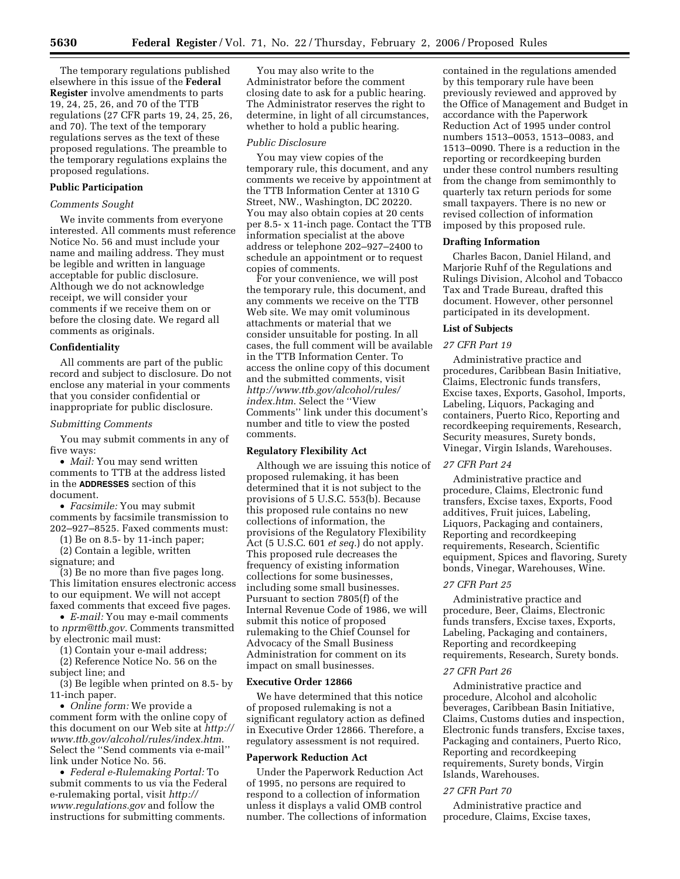The temporary regulations published elsewhere in this issue of the **Federal Register** involve amendments to parts 19, 24, 25, 26, and 70 of the TTB regulations (27 CFR parts 19, 24, 25, 26, and 70). The text of the temporary regulations serves as the text of these proposed regulations. The preamble to the temporary regulations explains the proposed regulations.

# **Public Participation**

#### *Comments Sought*

We invite comments from everyone interested. All comments must reference Notice No. 56 and must include your name and mailing address. They must be legible and written in language acceptable for public disclosure. Although we do not acknowledge receipt, we will consider your comments if we receive them on or before the closing date. We regard all comments as originals.

#### **Confidentiality**

All comments are part of the public record and subject to disclosure. Do not enclose any material in your comments that you consider confidential or inappropriate for public disclosure.

#### *Submitting Comments*

You may submit comments in any of five ways:

• *Mail:* You may send written comments to TTB at the address listed in the **ADDRESSES** section of this document.

• *Facsimile:* You may submit comments by facsimile transmission to 202–927–8525. Faxed comments must:

(1) Be on 8.5- by 11-inch paper;

(2) Contain a legible, written signature; and

(3) Be no more than five pages long. This limitation ensures electronic access to our equipment. We will not accept faxed comments that exceed five pages.

• *E-mail:* You may e-mail comments to *nprm@ttb.gov*. Comments transmitted by electronic mail must:

(1) Contain your e-mail address;

(2) Reference Notice No. 56 on the subject line; and

(3) Be legible when printed on 8.5- by 11-inch paper.

• *Online form:* We provide a comment form with the online copy of this document on our Web site at *http:// www.ttb.gov/alcohol/rules/index.htm*. Select the ''Send comments via e-mail'' link under Notice No. 56.

• *Federal e-Rulemaking Portal:* To submit comments to us via the Federal e-rulemaking portal, visit *http:// www.regulations.gov* and follow the instructions for submitting comments.

You may also write to the Administrator before the comment closing date to ask for a public hearing. The Administrator reserves the right to determine, in light of all circumstances, whether to hold a public hearing.

#### *Public Disclosure*

You may view copies of the temporary rule, this document, and any comments we receive by appointment at the TTB Information Center at 1310 G Street, NW., Washington, DC 20220. You may also obtain copies at 20 cents per 8.5- x 11-inch page. Contact the TTB information specialist at the above address or telephone 202–927–2400 to schedule an appointment or to request copies of comments.

For your convenience, we will post the temporary rule, this document, and any comments we receive on the TTB Web site. We may omit voluminous attachments or material that we consider unsuitable for posting. In all cases, the full comment will be available in the TTB Information Center. To access the online copy of this document and the submitted comments, visit *http://www.ttb.gov/alcohol/rules/ index.htm*. Select the ''View Comments'' link under this document's number and title to view the posted comments.

#### **Regulatory Flexibility Act**

Although we are issuing this notice of proposed rulemaking, it has been determined that it is not subject to the provisions of 5 U.S.C. 553(b). Because this proposed rule contains no new collections of information, the provisions of the Regulatory Flexibility Act (5 U.S.C. 601 *et seq.*) do not apply. This proposed rule decreases the frequency of existing information collections for some businesses, including some small businesses. Pursuant to section 7805(f) of the Internal Revenue Code of 1986, we will submit this notice of proposed rulemaking to the Chief Counsel for Advocacy of the Small Business Administration for comment on its impact on small businesses.

### **Executive Order 12866**

We have determined that this notice of proposed rulemaking is not a significant regulatory action as defined in Executive Order 12866. Therefore, a regulatory assessment is not required.

#### **Paperwork Reduction Act**

Under the Paperwork Reduction Act of 1995, no persons are required to respond to a collection of information unless it displays a valid OMB control number. The collections of information

contained in the regulations amended by this temporary rule have been previously reviewed and approved by the Office of Management and Budget in accordance with the Paperwork Reduction Act of 1995 under control numbers 1513–0053, 1513–0083, and 1513–0090. There is a reduction in the reporting or recordkeeping burden under these control numbers resulting from the change from semimonthly to quarterly tax return periods for some small taxpayers. There is no new or revised collection of information imposed by this proposed rule.

### **Drafting Information**

Charles Bacon, Daniel Hiland, and Marjorie Ruhf of the Regulations and Rulings Division, Alcohol and Tobacco Tax and Trade Bureau, drafted this document. However, other personnel participated in its development.

## **List of Subjects**

# *27 CFR Part 19*

Administrative practice and procedures, Caribbean Basin Initiative, Claims, Electronic funds transfers, Excise taxes, Exports, Gasohol, Imports, Labeling, Liquors, Packaging and containers, Puerto Rico, Reporting and recordkeeping requirements, Research, Security measures, Surety bonds, Vinegar, Virgin Islands, Warehouses.

#### *27 CFR Part 24*

Administrative practice and procedure, Claims, Electronic fund transfers, Excise taxes, Exports, Food additives, Fruit juices, Labeling, Liquors, Packaging and containers, Reporting and recordkeeping requirements, Research, Scientific equipment, Spices and flavoring, Surety bonds, Vinegar, Warehouses, Wine.

# *27 CFR Part 25*

Administrative practice and procedure, Beer, Claims, Electronic funds transfers, Excise taxes, Exports, Labeling, Packaging and containers, Reporting and recordkeeping requirements, Research, Surety bonds.

## *27 CFR Part 26*

Administrative practice and procedure, Alcohol and alcoholic beverages, Caribbean Basin Initiative, Claims, Customs duties and inspection, Electronic funds transfers, Excise taxes, Packaging and containers, Puerto Rico, Reporting and recordkeeping requirements, Surety bonds, Virgin Islands, Warehouses.

#### *27 CFR Part 70*

Administrative practice and procedure, Claims, Excise taxes,